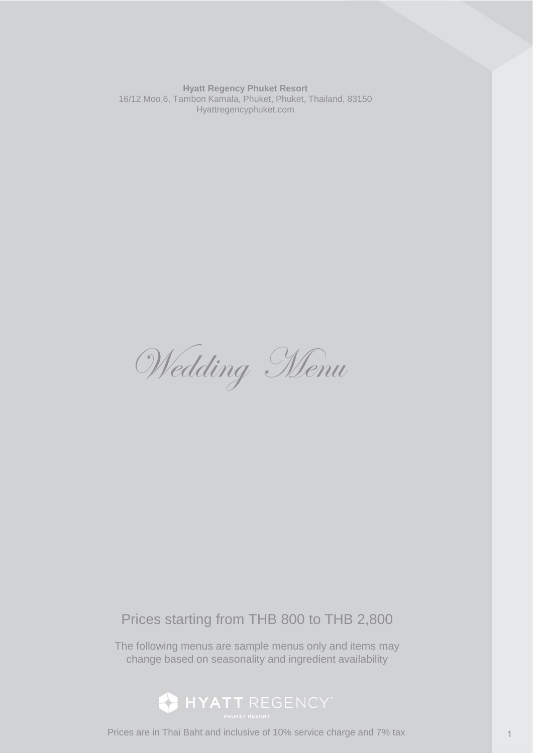**Hyatt Regency Phuket Resort** 16/12 Moo.6, Tambon Kamala, Phuket, Phuket, Thailand, 83150 Hyattregencyphuket.com

Wedding Menu

# Prices starting from THB 800 to THB 2,800

The following menus are sample menus only and items may change based on seasonality and ingredient availability



Prices are in Thai Baht and inclusive of 10% service charge and 7% tax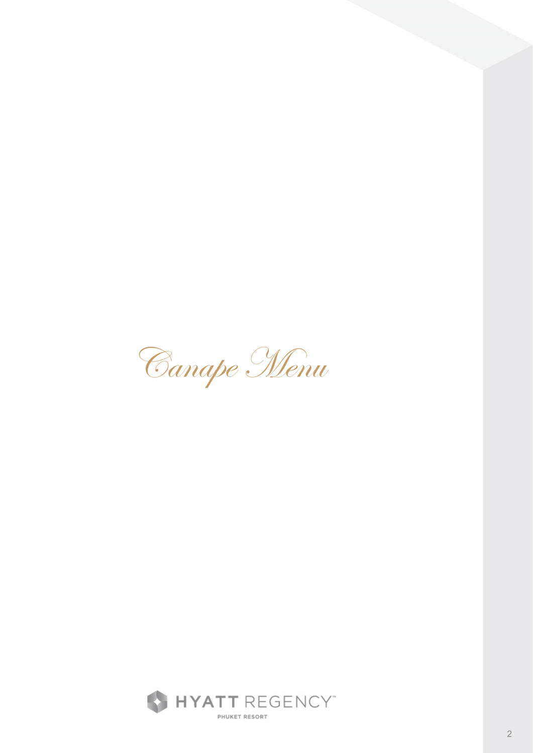Canape Menu

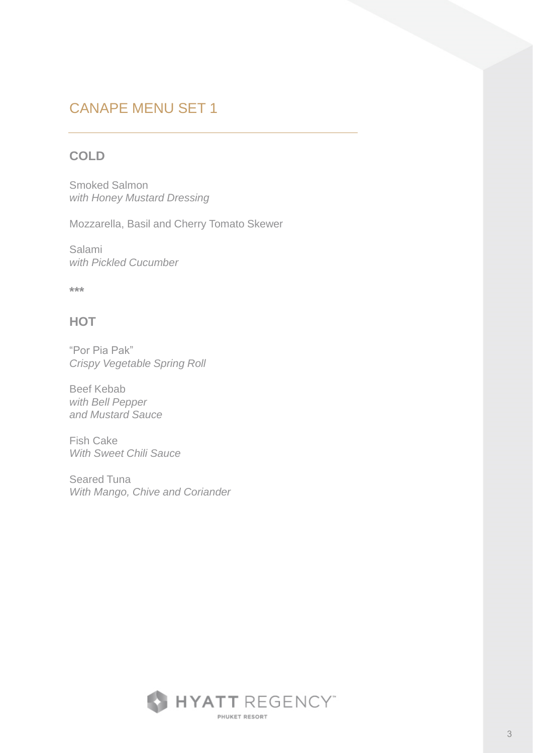## CANAPE MENU SET 1

### **COLD**

Smoked Salmon *with Honey Mustard Dressing* 

Mozzarella, Basil and Cherry Tomato Skewer

Salami *with Pickled Cucumber*

**\*\*\***

### **HOT**

"Por Pia Pak" *Crispy Vegetable Spring Roll*

Beef Kebab *with Bell Pepper and Mustard Sauce*

Fish Cake *With Sweet Chili Sauce*

Seared Tuna *With Mango, Chive and Coriander*

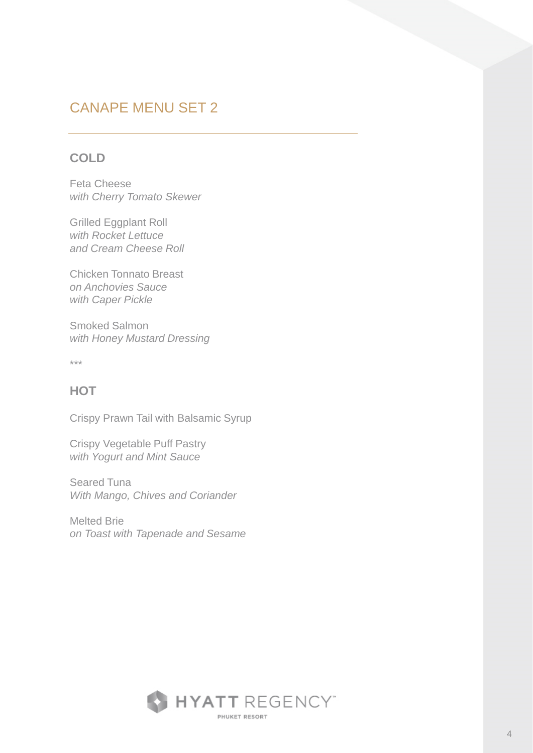# CANAPE MENU SET 2

### **COLD**

Feta Cheese *with Cherry Tomato Skewer*

Grilled Eggplant Roll *with Rocket Lettuce and Cream Cheese Roll*

Chicken Tonnato Breast *on Anchovies Sauce with Caper Pickle*

Smoked Salmon *with Honey Mustard Dressing*

\*\*\*

### **HOT**

Crispy Prawn Tail with Balsamic Syrup

Crispy Vegetable Puff Pastry *with Yogurt and Mint Sauce*

Seared Tuna *With Mango, Chives and Coriander*

Melted Brie *on Toast with Tapenade and Sesame*

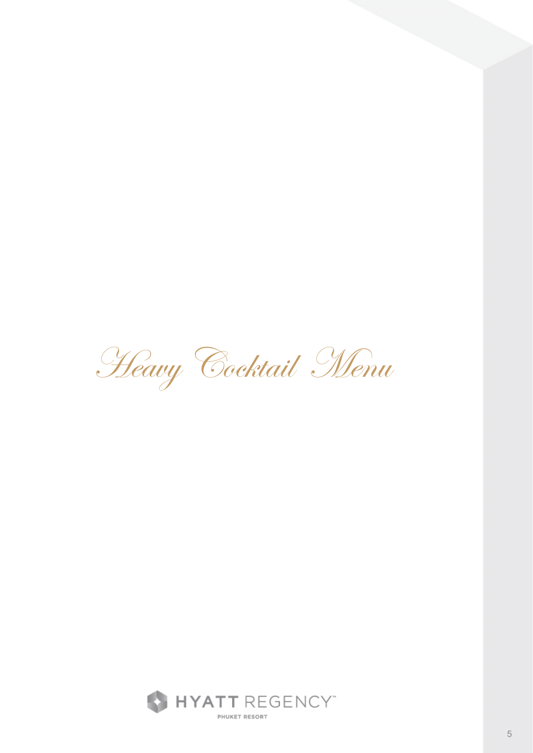Heavy Cocktail Menu

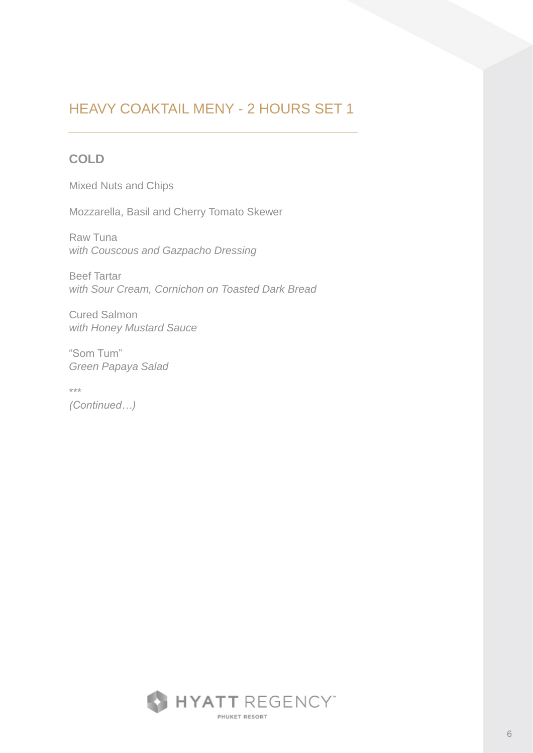### **COLD**

Mixed Nuts and Chips

Mozzarella, Basil and Cherry Tomato Skewer

Raw Tuna *with Couscous and Gazpacho Dressing*

Beef Tartar *with Sour Cream, Cornichon on Toasted Dark Bread*

Cured Salmon *with Honey Mustard Sauce*

"Som Tum" *Green Papaya Salad*

\*\*\*

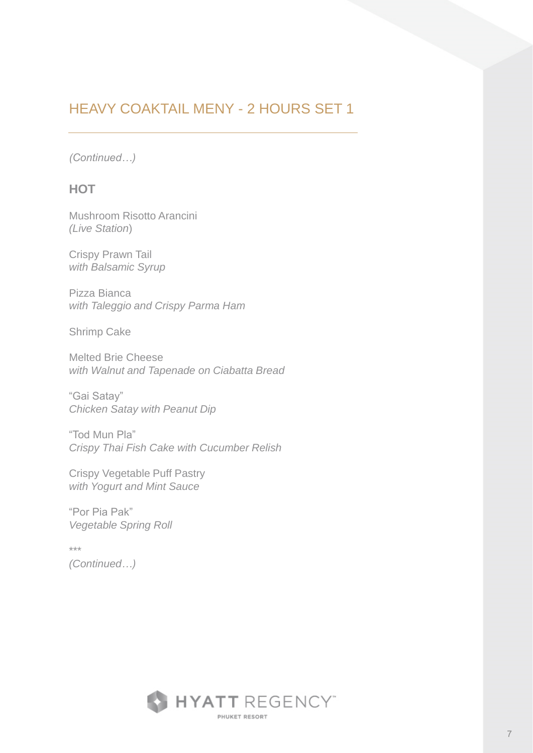*(Continued…)*

### **HOT**

Mushroom Risotto Arancini *(Live Station*)

Crispy Prawn Tail *with Balsamic Syrup*

Pizza Bianca *with Taleggio and Crispy Parma Ham*

Shrimp Cake

Melted Brie Cheese *with Walnut and Tapenade on Ciabatta Bread*

"Gai Satay" *Chicken Satay with Peanut Dip*

"Tod Mun Pla" *Crispy Thai Fish Cake with Cucumber Relish*

Crispy Vegetable Puff Pastry *with Yogurt and Mint Sauce*

"Por Pia Pak" *Vegetable Spring Roll*

\*\*\* *(Continued…)*

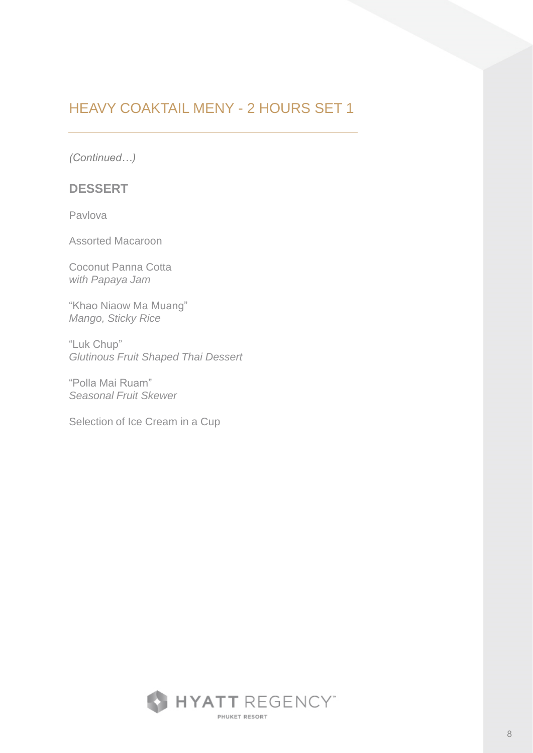*(Continued…)*

#### **DESSERT**

Pavlova

Assorted Macaroon

Coconut Panna Cotta *with Papaya Jam*

"Khao Niaow Ma Muang" *Mango, Sticky Rice* 

"Luk Chup" *Glutinous Fruit Shaped Thai Dessert* 

"Polla Mai Ruam" *Seasonal Fruit Skewer*

Selection of Ice Cream in a Cup

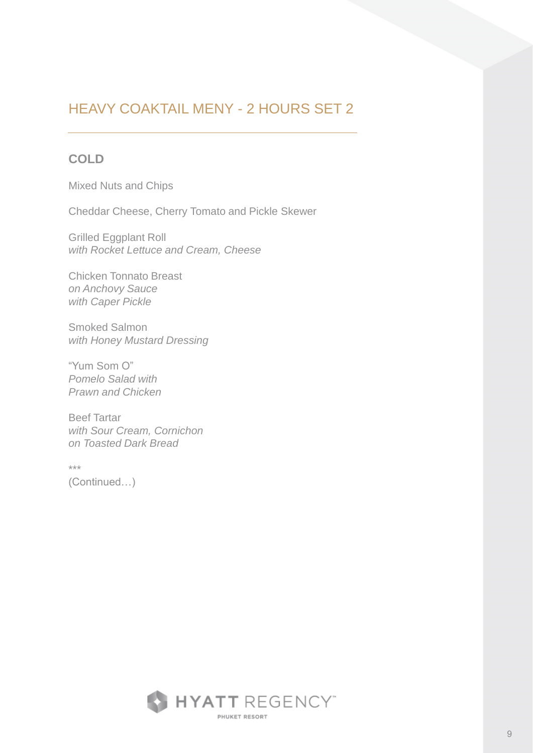### **COLD**

Mixed Nuts and Chips

Cheddar Cheese, Cherry Tomato and Pickle Skewer

Grilled Eggplant Roll *with Rocket Lettuce and Cream, Cheese*

Chicken Tonnato Breast *on Anchovy Sauce with Caper Pickle*

Smoked Salmon *with Honey Mustard Dressing*

"Yum Som O" *Pomelo Salad with Prawn and Chicken*

Beef Tartar *with Sour Cream, Cornichon on Toasted Dark Bread*

\*\*\*

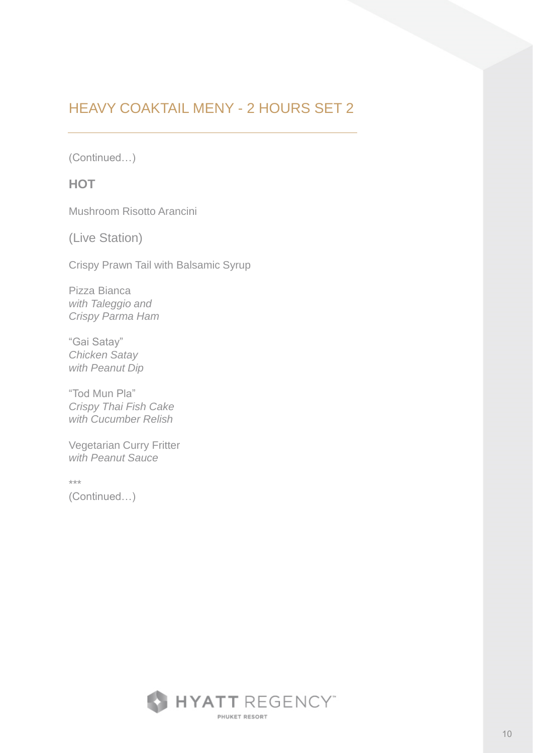(Continued…)

### **HOT**

Mushroom Risotto Arancini

(Live Station)

Crispy Prawn Tail with Balsamic Syrup

Pizza Bianca *with Taleggio and Crispy Parma Ham*

"Gai Satay" *Chicken Satay with Peanut Dip*

"Tod Mun Pla" *Crispy Thai Fish Cake with Cucumber Relish*

Vegetarian Curry Fritter *with Peanut Sauce*

\*\*\*

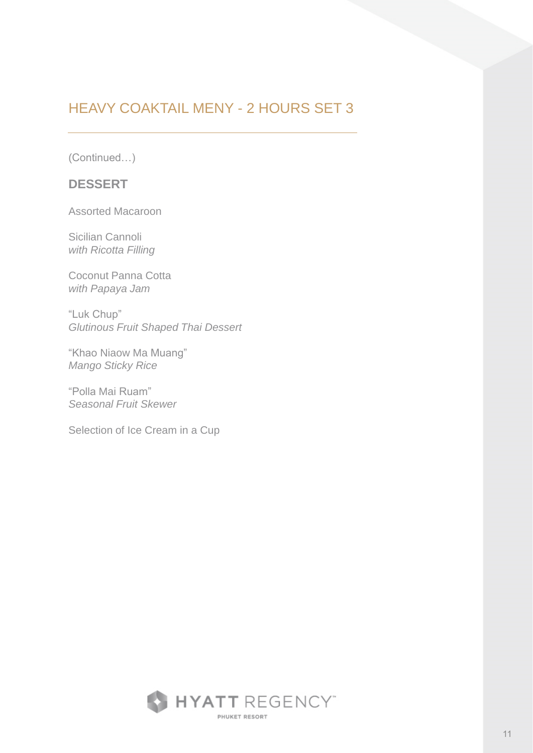(Continued…)

#### **DESSERT**

Assorted Macaroon

Sicilian Cannoli *with Ricotta Filling*

Coconut Panna Cotta *with Papaya Jam*

"Luk Chup" *Glutinous Fruit Shaped Thai Dessert* 

"Khao Niaow Ma Muang" *Mango Sticky Rice* 

"Polla Mai Ruam" *Seasonal Fruit Skewer*

Selection of Ice Cream in a Cup

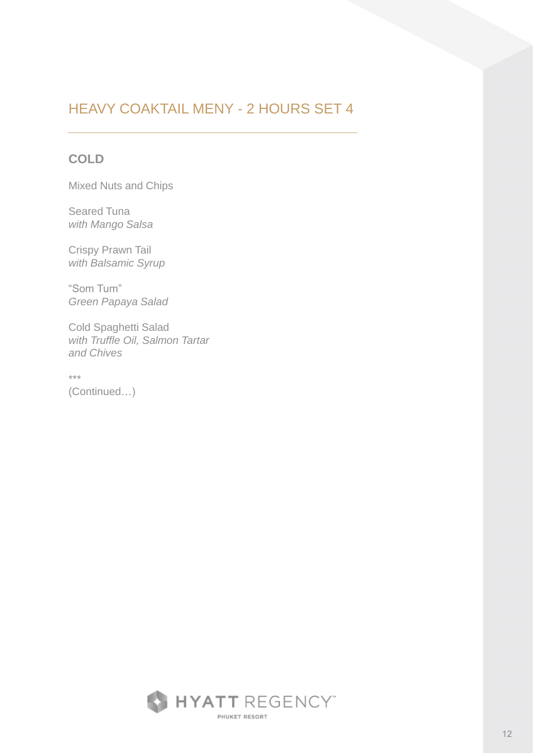### **COLD**

Mixed Nuts and Chips

Seared Tuna *with Mango Salsa*

Crispy Prawn Tail *with Balsamic Syrup*

"Som Tum" *Green Papaya Salad*

Cold Spaghetti Salad *with Truffle Oil, Salmon Tartar and Chives*

\*\*\*

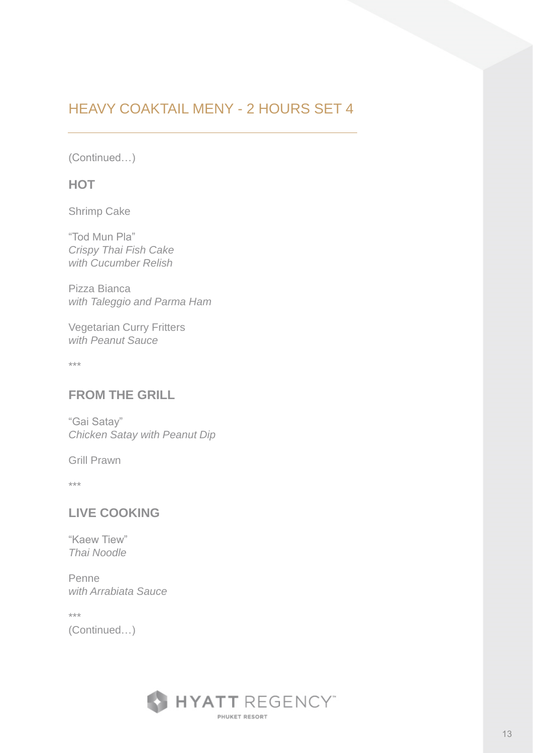(Continued…)

#### **HOT**

Shrimp Cake

"Tod Mun Pla" *Crispy Thai Fish Cake with Cucumber Relish*

Pizza Bianca *with Taleggio and Parma Ham*

Vegetarian Curry Fritters *with Peanut Sauce*

\*\*\*

### **FROM THE GRILL**

"Gai Satay" *Chicken Satay with Peanut Dip*

Grill Prawn

\*\*\*

### **LIVE COOKING**

"Kaew Tiew" *Thai Noodle*

Penne *with Arrabiata Sauce*

\*\*\*

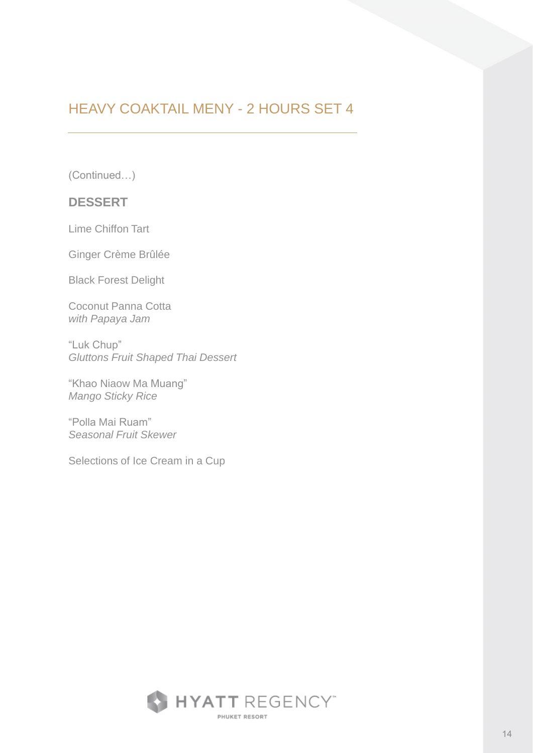(Continued…)

#### **DESSERT**

Lime Chiffon Tart

Ginger Crème Brûlée

Black Forest Delight

Coconut Panna Cotta *with Papaya Jam*

"Luk Chup" *Gluttons Fruit Shaped Thai Dessert*

"Khao Niaow Ma Muang" *Mango Sticky Rice* 

"Polla Mai Ruam" *Seasonal Fruit Skewer*

Selections of Ice Cream in a Cup

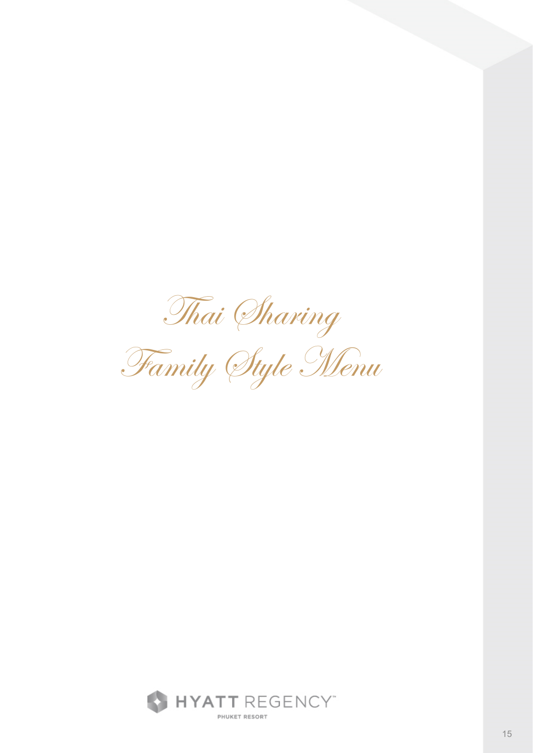Thai Sharing

Family Style Menu

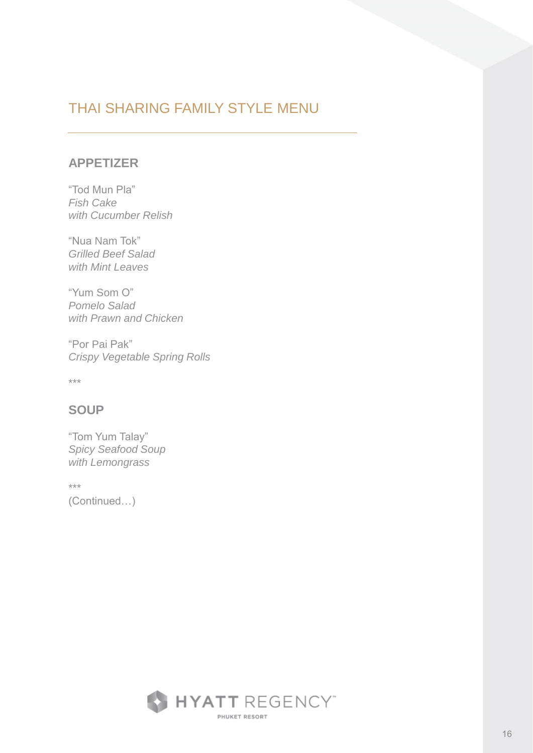# THAI SHARING FAMILY STYLE MENU

#### **APPETIZER**

"Tod Mun Pla" *Fish Cake with Cucumber Relish*

"Nua Nam Tok" *Grilled Beef Salad with Mint Leaves*

"Yum Som O" *Pomelo Salad with Prawn and Chicken*

"Por Pai Pak" *Crispy Vegetable Spring Rolls*

\*\*\*

### **SOUP**

"Tom Yum Talay" *Spicy Seafood Soup with Lemongrass*

\*\*\*

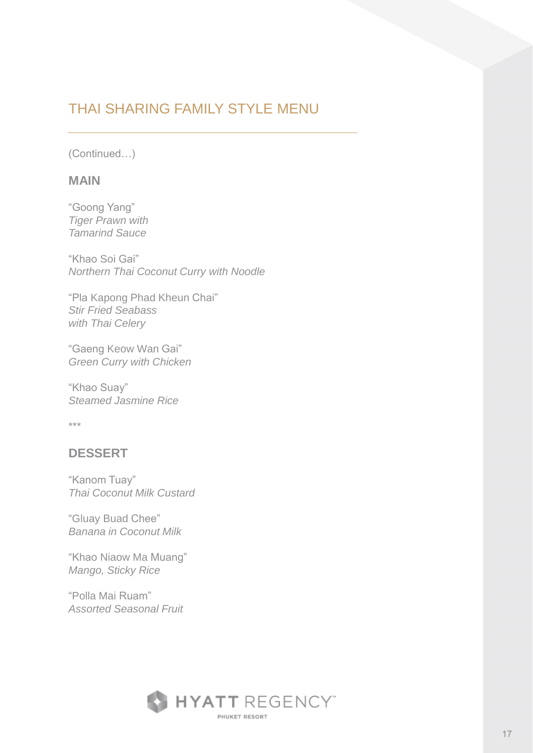# THAI SHARING FAMILY STYLE MENU

(Continued…)

#### **MAIN**

"Goong Yang" *Tiger Prawn with Tamarind Sauce*

"Khao Soi Gai" *Northern Thai Coconut Curry with Noodle*

"Pla Kapong Phad Kheun Chai" *Stir Fried Seabass with Thai Celery*

"Gaeng Keow Wan Gai" *Green Curry with Chicken*

"Khao Suay" *Steamed Jasmine Rice*

\*\*\*

#### **DESSERT**

"Kanom Tuay" *Thai Coconut Milk Custard*

"Gluay Buad Chee" *Banana in Coconut Milk*

"Khao Niaow Ma Muang" *Mango, Sticky Rice*

"Polla Mai Ruam" *Assorted Seasonal Fruit*

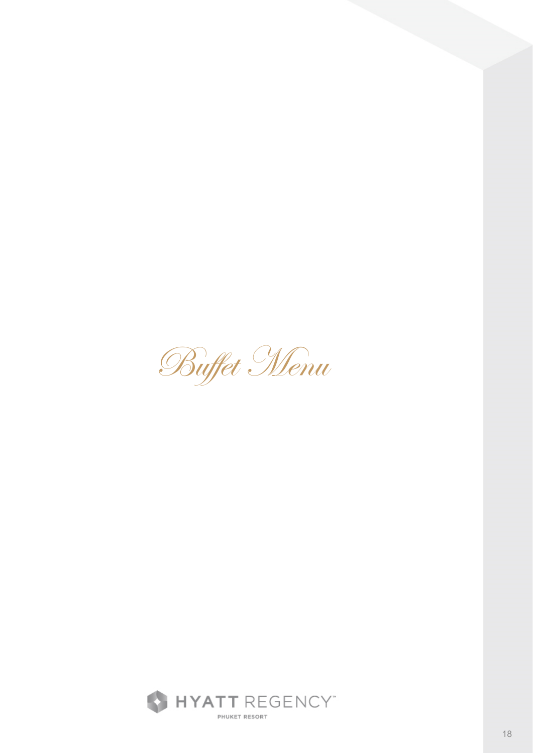Buffet Menu

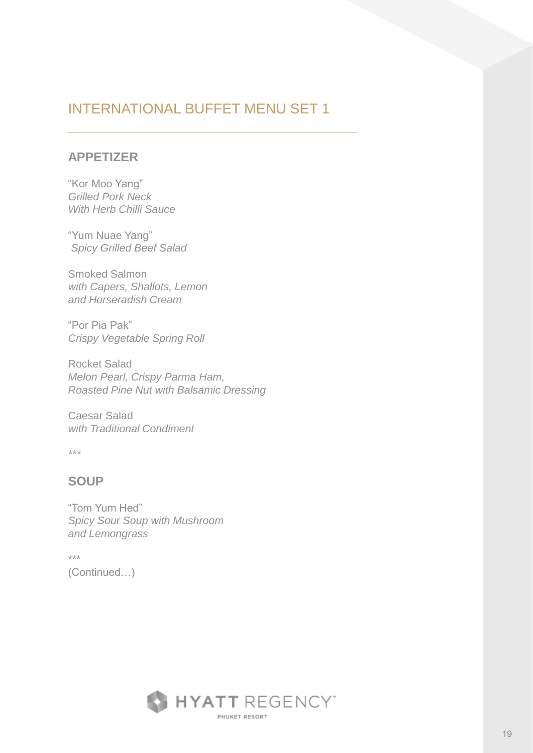### **APPETIZER**

"Kor Moo Yang" *Grilled Pork Neck With Herb Chilli Sauce*

"Yum Nuae Yang" *Spicy Grilled Beef Salad*

Smoked Salmon *with Capers, Shallots, Lemon and Horseradish Cream*

"Por Pia Pak" *Crispy Vegetable Spring Roll*

Rocket Salad *Melon Pearl, Crispy Parma Ham, Roasted Pine Nut with Balsamic Dressing*

Caesar Salad *with Traditional Condiment*

*\*\*\**

### **SOUP**

"Tom Yum Hed" *Spicy Sour Soup with Mushroom and Lemongrass*

\*\*\* (Continued…)

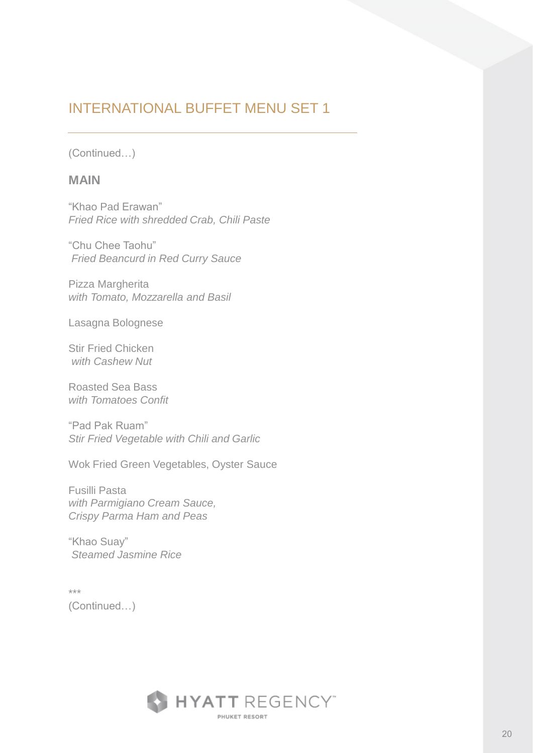(Continued…)

#### **MAIN**

"Khao Pad Erawan" *Fried Rice with shredded Crab, Chili Paste*

"Chu Chee Taohu" *Fried Beancurd in Red Curry Sauce*

Pizza Margherita *with Tomato, Mozzarella and Basil*

Lasagna Bolognese

Stir Fried Chicken *with Cashew Nut*

Roasted Sea Bass *with Tomatoes Confit*

"Pad Pak Ruam" *Stir Fried Vegetable with Chili and Garlic*

Wok Fried Green Vegetables, Oyster Sauce

Fusilli Pasta *with Parmigiano Cream Sauce, Crispy Parma Ham and Peas*

"Khao Suay" *Steamed Jasmine Rice*

\*\*\* (Continued…)

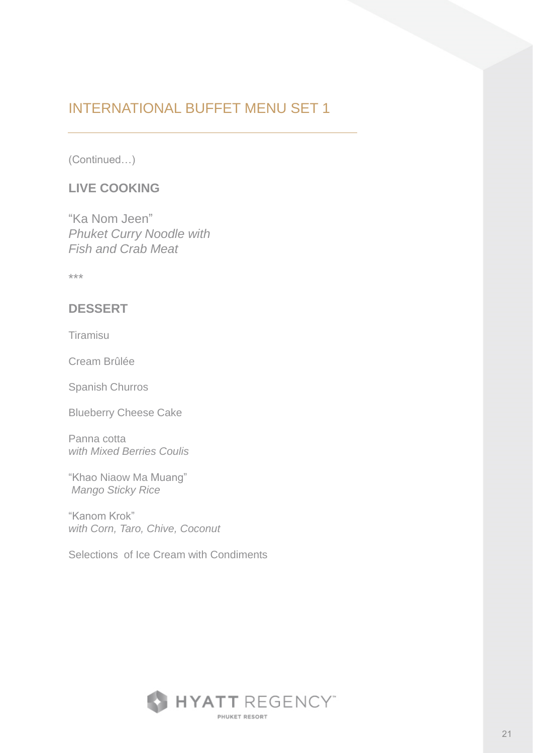(Continued…)

### **LIVE COOKING**

"Ka Nom Jeen" *Phuket Curry Noodle with Fish and Crab Meat*

\*\*\*

### **DESSERT**

Tiramisu

Cream Brûlée

Spanish Churros

Blueberry Cheese Cake

Panna cotta *with Mixed Berries Coulis*

"Khao Niaow Ma Muang" *Mango Sticky Rice* 

"Kanom Krok" *with Corn, Taro, Chive, Coconut*

Selections of Ice Cream with Condiments

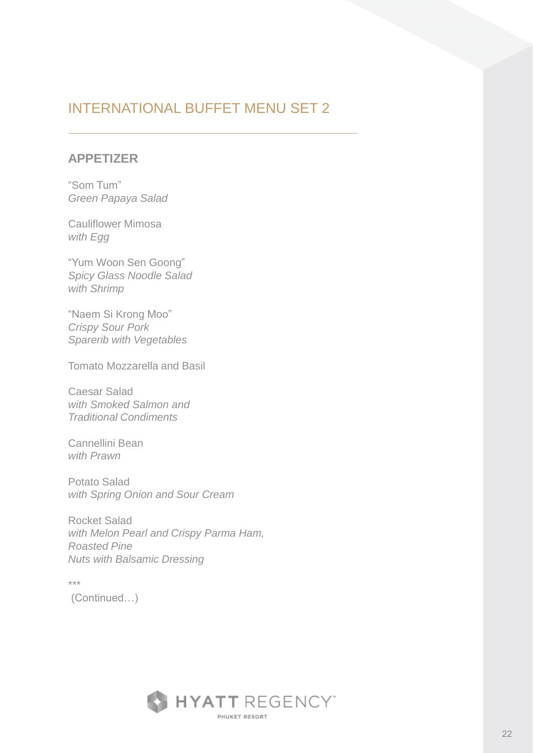#### **APPETIZER**

"Som Tum" *Green Papaya Salad*

Cauliflower Mimosa *with Egg*

"Yum Woon Sen Goong" *Spicy Glass Noodle Salad with Shrimp*

"Naem Si Krong Moo" *Crispy Sour Pork Sparerib with Vegetables*

Tomato Mozzarella and Basil

Caesar Salad *with Smoked Salmon and Traditional Condiments*

Cannellini Bean *with Prawn*

Potato Salad *with Spring Onion and Sour Cream*

Rocket Salad *with Melon Pearl and Crispy Parma Ham, Roasted Pine Nuts with Balsamic Dressing*

\*\*\* (Continued…)

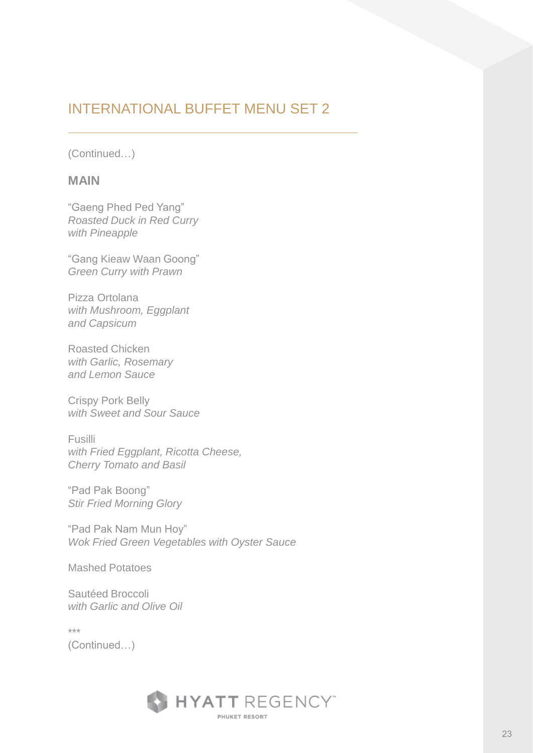(Continued…)

#### **MAIN**

"Gaeng Phed Ped Yang" *Roasted Duck in Red Curry with Pineapple*

"Gang Kieaw Waan Goong" *Green Curry with Prawn*

Pizza Ortolana *with Mushroom, Eggplant and Capsicum*

Roasted Chicken *with Garlic, Rosemary and Lemon Sauce*

Crispy Pork Belly *with Sweet and Sour Sauce*

Fusilli *with Fried Eggplant, Ricotta Cheese, Cherry Tomato and Basil*

"Pad Pak Boong" *Stir Fried Morning Glory*

"Pad Pak Nam Mun Hoy" *Wok Fried Green Vegetables with Oyster Sauce*

Mashed Potatoes

Sautéed Broccoli *with Garlic and Olive Oil*

\*\*\*

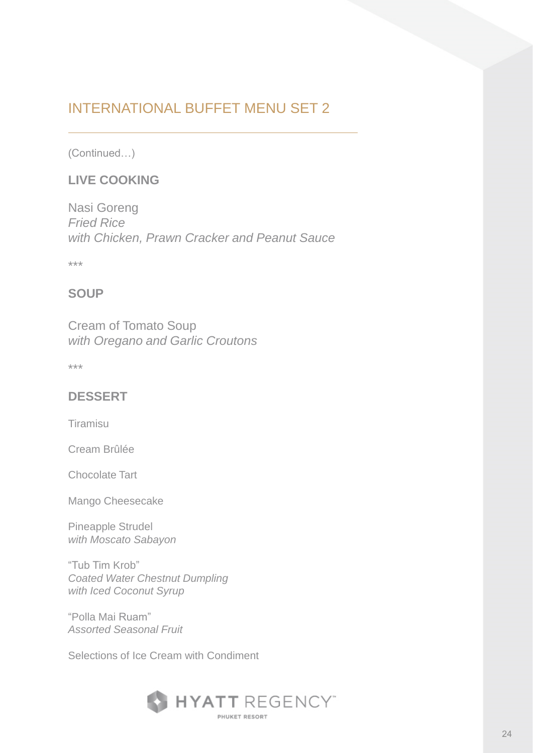(Continued…)

### **LIVE COOKING**

Nasi Goreng *Fried Rice with Chicken, Prawn Cracker and Peanut Sauce*

\*\*\*

### **SOUP**

Cream of Tomato Soup *with Oregano and Garlic Croutons*

\*\*\*

### **DESSERT**

Tiramisu

Cream Brûlée

Chocolate Tart

Mango Cheesecake

Pineapple Strudel *with Moscato Sabayon*

"Tub Tim Krob" *Coated Water Chestnut Dumpling with Iced Coconut Syrup*

"Polla Mai Ruam" *Assorted Seasonal Fruit*

Selections of Ice Cream with Condiment

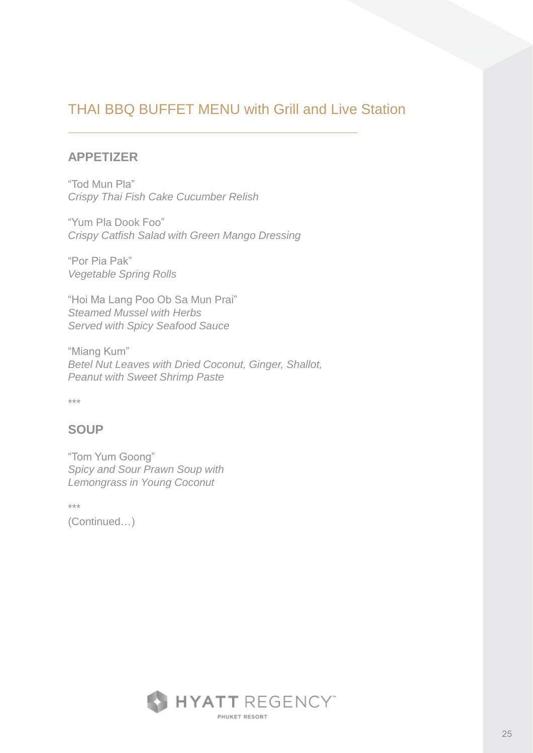#### **APPETIZER**

"Tod Mun Pla" *Crispy Thai Fish Cake Cucumber Relish*

"Yum Pla Dook Foo" *Crispy Catfish Salad with Green Mango Dressing*

"Por Pia Pak" *Vegetable Spring Rolls*

"Hoi Ma Lang Poo Ob Sa Mun Prai" *Steamed Mussel with Herbs Served with Spicy Seafood Sauce*

"Miang Kum" *Betel Nut Leaves with Dried Coconut, Ginger, Shallot, Peanut with Sweet Shrimp Paste* 

\*\*\*

### **SOUP**

"Tom Yum Goong" *Spicy and Sour Prawn Soup with Lemongrass in Young Coconut*

\*\*\*

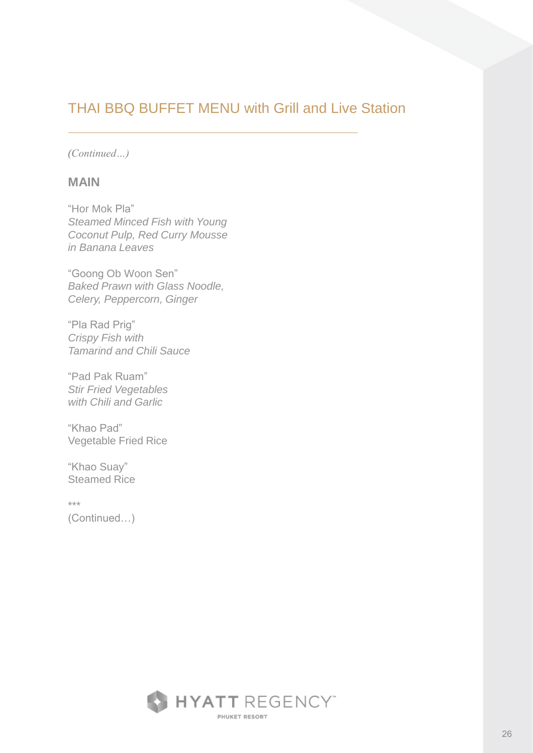*(Continued…)*

#### **MAIN**

"Hor Mok Pla" *Steamed Minced Fish with Young Coconut Pulp, Red Curry Mousse in Banana Leaves*

"Goong Ob Woon Sen" *Baked Prawn with Glass Noodle, Celery, Peppercorn, Ginger*

"Pla Rad Prig" *Crispy Fish with Tamarind and Chili Sauce*

"Pad Pak Ruam" *Stir Fried Vegetables with Chili and Garlic*

"Khao Pad" Vegetable Fried Rice

"Khao Suay" Steamed Rice

\*\*\*

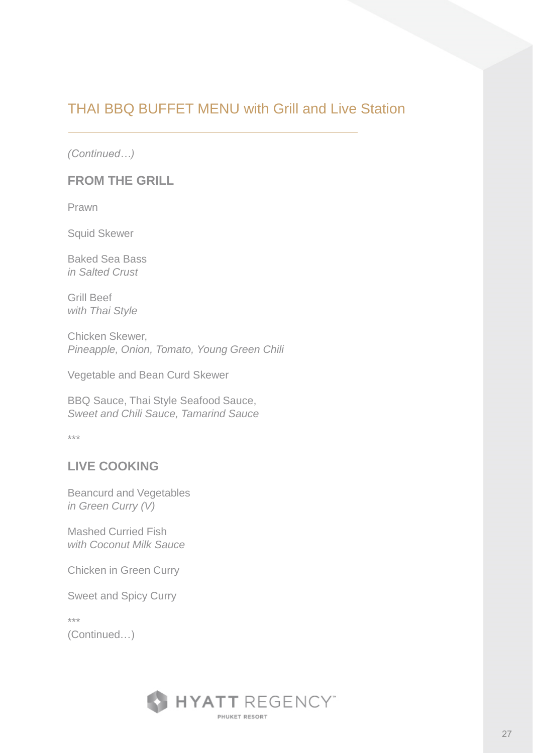*(Continued…)*

#### **FROM THE GRILL**

Prawn

Squid Skewer

Baked Sea Bass *in Salted Crust*

Grill Beef *with Thai Style*

Chicken Skewer, *Pineapple, Onion, Tomato, Young Green Chili*

Vegetable and Bean Curd Skewer

BBQ Sauce, Thai Style Seafood Sauce, *Sweet and Chili Sauce, Tamarind Sauce*

\*\*\*

### **LIVE COOKING**

Beancurd and Vegetables *in Green Curry (V)*

Mashed Curried Fish *with Coconut Milk Sauce*

Chicken in Green Curry

Sweet and Spicy Curry

\*\*\*

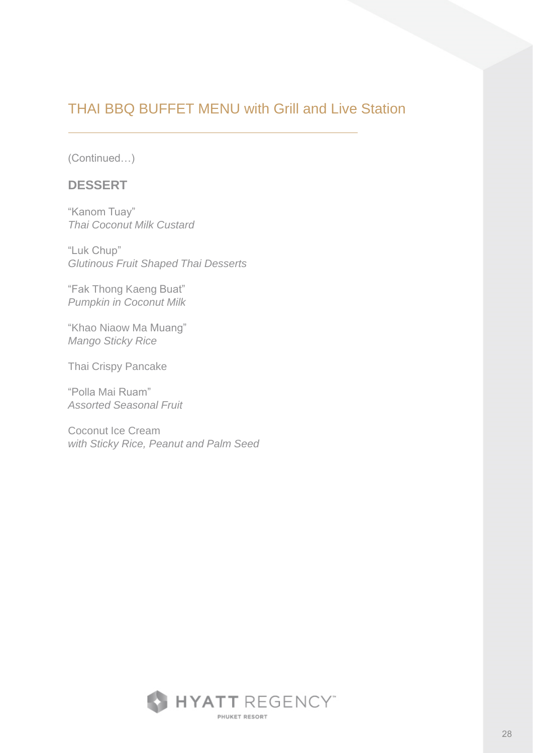(Continued…)

#### **DESSERT**

"Kanom Tuay" *Thai Coconut Milk Custard*

"Luk Chup" *Glutinous Fruit Shaped Thai Desserts*

"Fak Thong Kaeng Buat" *Pumpkin in Coconut Milk*

"Khao Niaow Ma Muang" *Mango Sticky Rice* 

Thai Crispy Pancake

"Polla Mai Ruam" *Assorted Seasonal Fruit*

Coconut Ice Cream *with Sticky Rice, Peanut and Palm Seed*

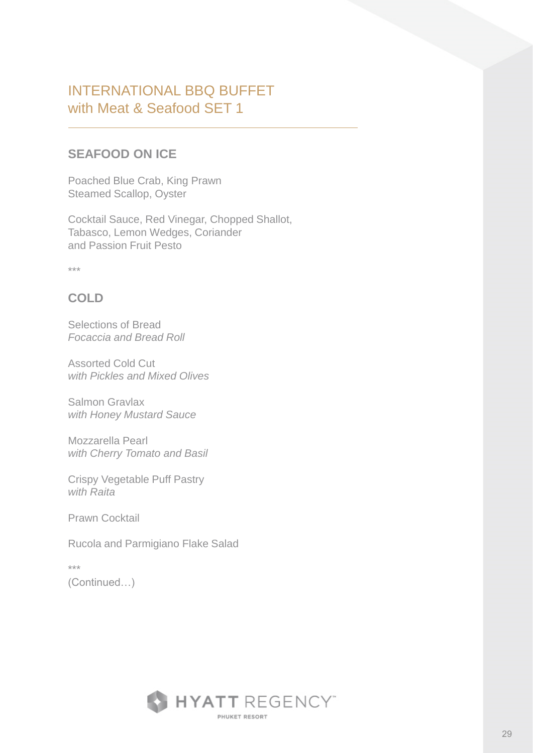### **SEAFOOD ON ICE**

Poached Blue Crab, King Prawn Steamed Scallop, Oyster

Cocktail Sauce, Red Vinegar, Chopped Shallot, Tabasco, Lemon Wedges, Coriander and Passion Fruit Pesto

\*\*\*

### **COLD**

Selections of Bread *Focaccia and Bread Roll*

Assorted Cold Cut *with Pickles and Mixed Olives*

Salmon Gravlax *with Honey Mustard Sauce*

Mozzarella Pearl *with Cherry Tomato and Basil*

Crispy Vegetable Puff Pastry *with Raita*

Prawn Cocktail

Rucola and Parmigiano Flake Salad

\*\*\* (Continued…)

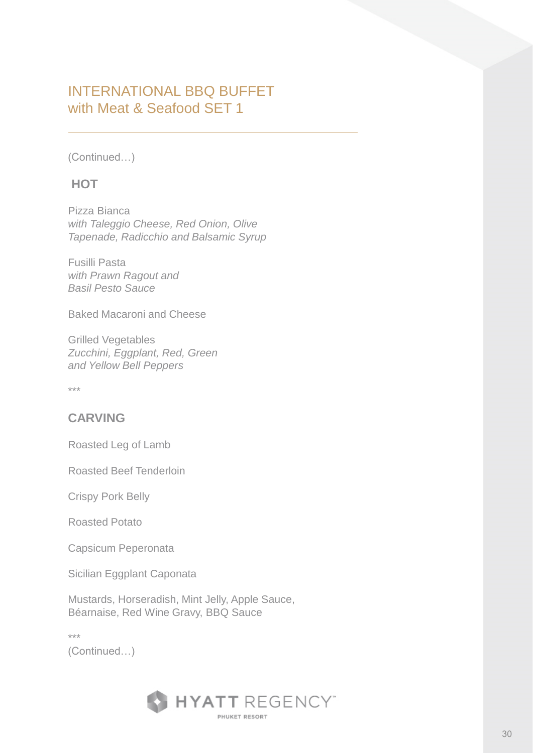(Continued…)

### **HOT**

Pizza Bianca *with Taleggio Cheese, Red Onion, Olive Tapenade, Radicchio and Balsamic Syrup*

Fusilli Pasta *with Prawn Ragout and Basil Pesto Sauce*

Baked Macaroni and Cheese

Grilled Vegetables *Zucchini, Eggplant, Red, Green and Yellow Bell Peppers*

\*\*\*

### **CARVING**

Roasted Leg of Lamb

Roasted Beef Tenderloin

Crispy Pork Belly

Roasted Potato

Capsicum Peperonata

Sicilian Eggplant Caponata

Mustards, Horseradish, Mint Jelly, Apple Sauce, Béarnaise, Red Wine Gravy, BBQ Sauce

\*\*\*

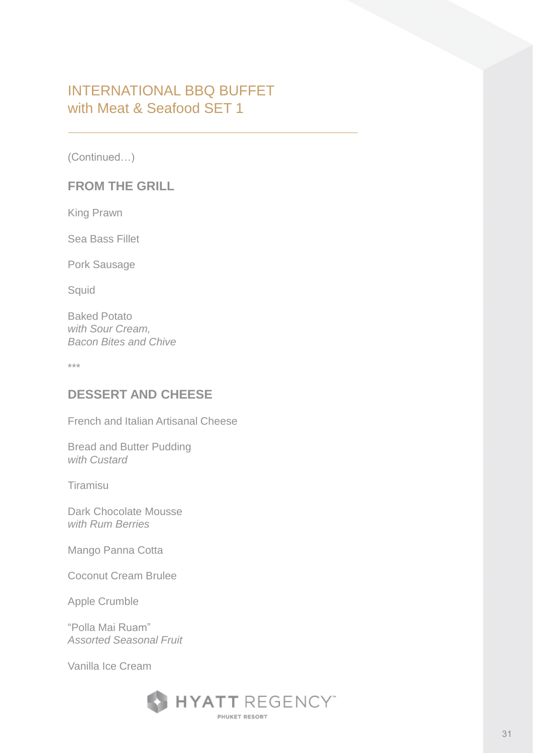(Continued…)

#### **FROM THE GRILL**

King Prawn

Sea Bass Fillet

Pork Sausage

**Squid** 

Baked Potato *with Sour Cream, Bacon Bites and Chive*

\*\*\*

### **DESSERT AND CHEESE**

French and Italian Artisanal Cheese

Bread and Butter Pudding *with Custard*

Tiramisu

Dark Chocolate Mousse *with Rum Berries*

Mango Panna Cotta

Coconut Cream Brulee

Apple Crumble

"Polla Mai Ruam" *Assorted Seasonal Fruit*

Vanilla Ice Cream

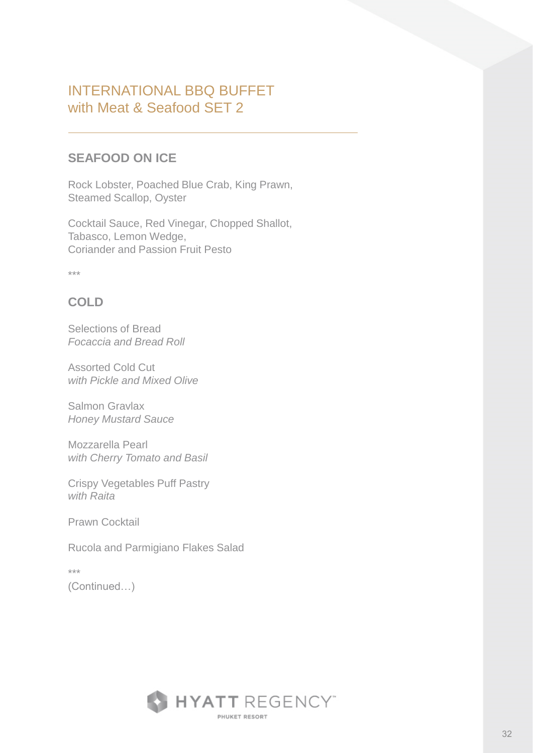### **SEAFOOD ON ICE**

Rock Lobster, Poached Blue Crab, King Prawn, Steamed Scallop, Oyster

Cocktail Sauce, Red Vinegar, Chopped Shallot, Tabasco, Lemon Wedge, Coriander and Passion Fruit Pesto

\*\*\*

### **COLD**

Selections of Bread *Focaccia and Bread Roll*

Assorted Cold Cut *with Pickle and Mixed Olive*

Salmon Gravlax *Honey Mustard Sauce*

Mozzarella Pearl *with Cherry Tomato and Basil*

Crispy Vegetables Puff Pastry *with Raita*

Prawn Cocktail

Rucola and Parmigiano Flakes Salad

\*\*\* (Continued…)

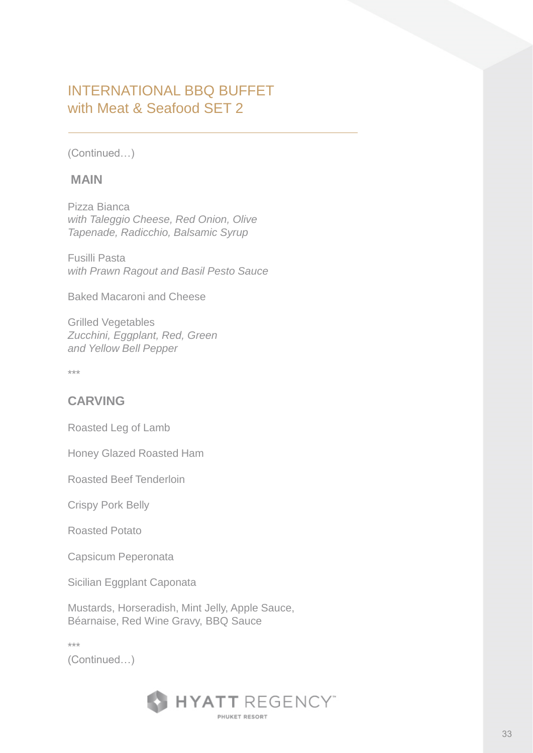(Continued…)

#### **MAIN**

Pizza Bianca *with Taleggio Cheese, Red Onion, Olive Tapenade, Radicchio, Balsamic Syrup*

Fusilli Pasta *with Prawn Ragout and Basil Pesto Sauce*

Baked Macaroni and Cheese

Grilled Vegetables *Zucchini, Eggplant, Red, Green and Yellow Bell Pepper*

\*\*\*

### **CARVING**

Roasted Leg of Lamb

Honey Glazed Roasted Ham

Roasted Beef Tenderloin

Crispy Pork Belly

Roasted Potato

Capsicum Peperonata

Sicilian Eggplant Caponata

Mustards, Horseradish, Mint Jelly, Apple Sauce, Béarnaise, Red Wine Gravy, BBQ Sauce

\*\*\*

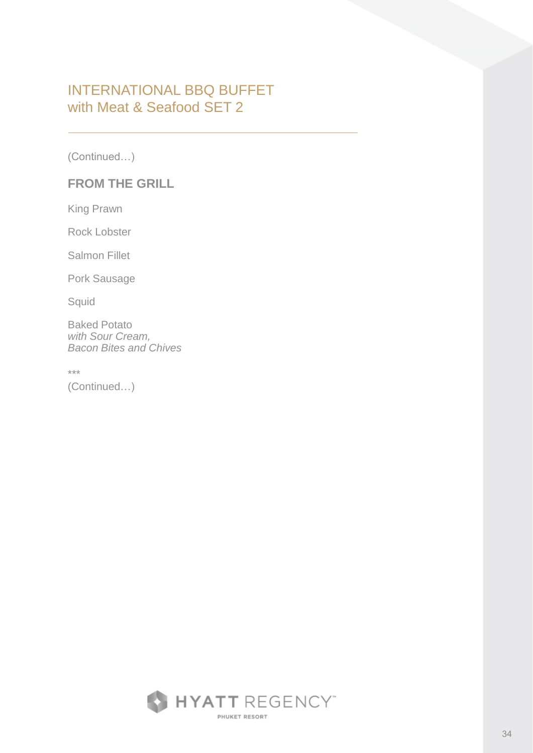(Continued…)

### **FROM THE GRILL**

King Prawn

Rock Lobster

Salmon Fillet

Pork Sausage

Squid

Baked Potato *with Sour Cream, Bacon Bites and Chives*

\*\*\*

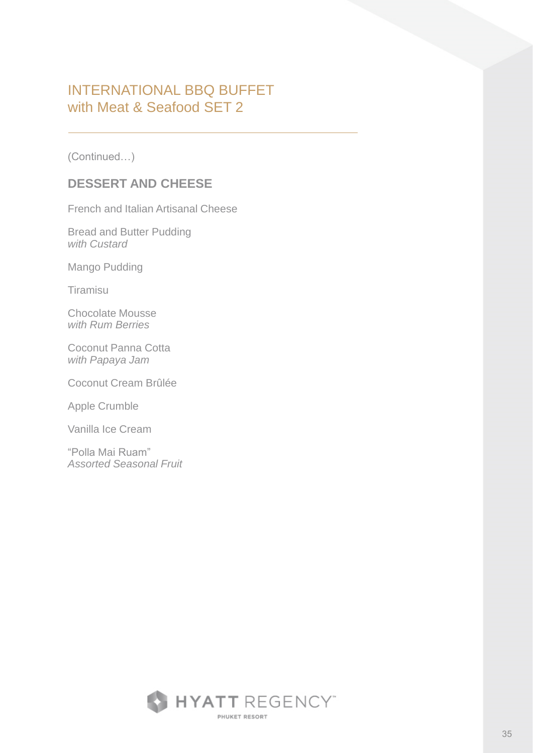(Continued…)

### **DESSERT AND CHEESE**

French and Italian Artisanal Cheese

Bread and Butter Pudding *with Custard*

Mango Pudding

Tiramisu

Chocolate Mousse *with Rum Berries*

Coconut Panna Cotta *with Papaya Jam*

Coconut Cream Brûlée

Apple Crumble

Vanilla Ice Cream

"Polla Mai Ruam" *Assorted Seasonal Fruit*

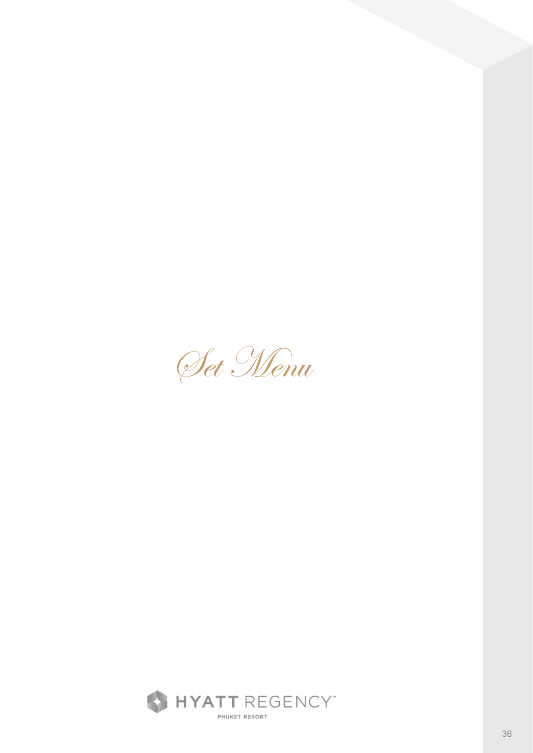Set Menu

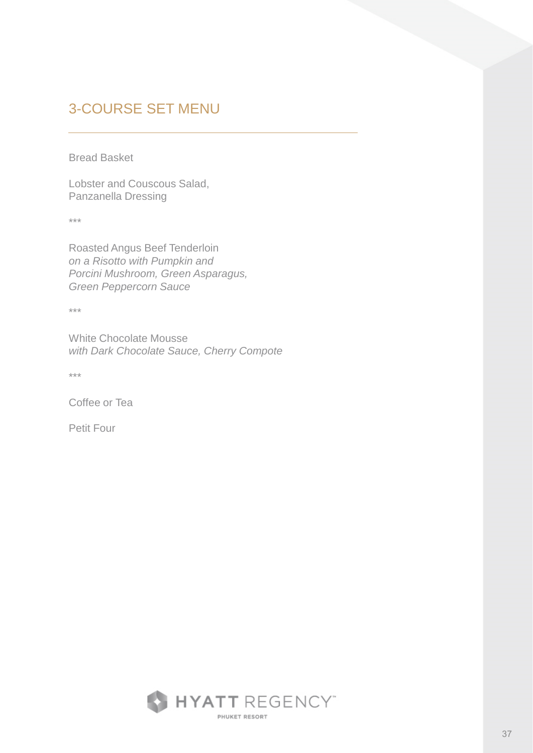Bread Basket

Lobster and Couscous Salad, Panzanella Dressing

\*\*\*

Roasted Angus Beef Tenderloin *on a Risotto with Pumpkin and Porcini Mushroom, Green Asparagus, Green Peppercorn Sauce*

\*\*\*

White Chocolate Mousse *with Dark Chocolate Sauce, Cherry Compote*

\*\*\*

Coffee or Tea

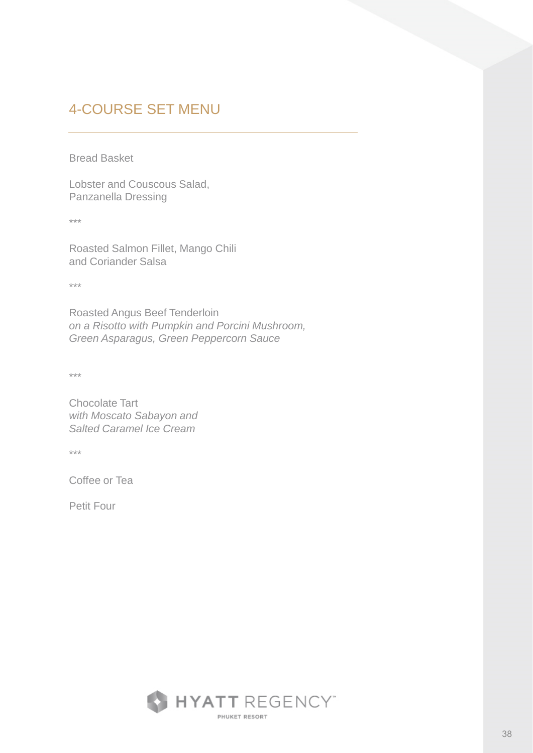Bread Basket

Lobster and Couscous Salad, Panzanella Dressing

\*\*\*

Roasted Salmon Fillet, Mango Chili and Coriander Salsa

\*\*\*

Roasted Angus Beef Tenderloin *on a Risotto with Pumpkin and Porcini Mushroom, Green Asparagus, Green Peppercorn Sauce*

\*\*\*

Chocolate Tart *with Moscato Sabayon and Salted Caramel Ice Cream*

\*\*\*

Coffee or Tea

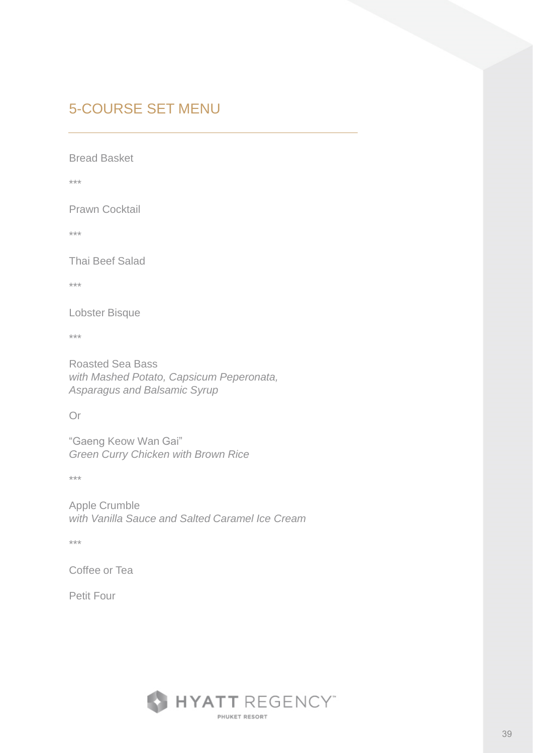Bread Basket

\*\*\*

Prawn Cocktail

\*\*\*

Thai Beef Salad

\*\*\*

Lobster Bisque

\*\*\*

Roasted Sea Bass *with Mashed Potato, Capsicum Peperonata, Asparagus and Balsamic Syrup*

Or

"Gaeng Keow Wan Gai" *Green Curry Chicken with Brown Rice*

\*\*\*

Apple Crumble *with Vanilla Sauce and Salted Caramel Ice Cream*

\*\*\*

Coffee or Tea

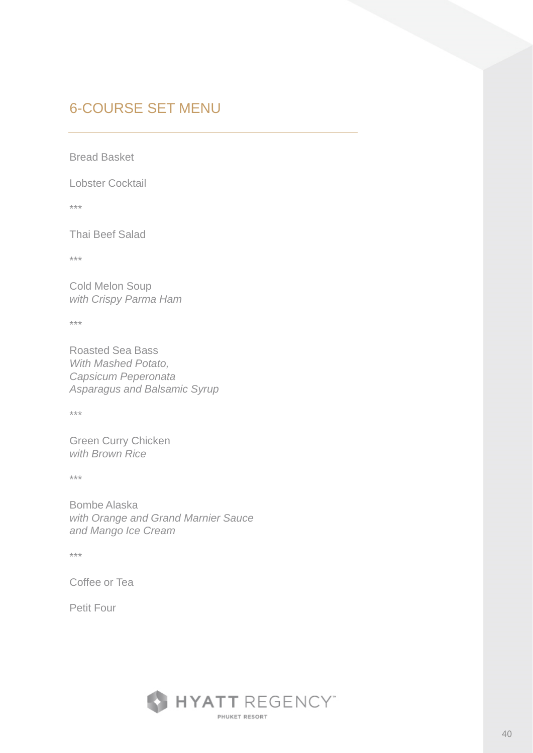Bread Basket

Lobster Cocktail

\*\*\*

Thai Beef Salad

\*\*\*

Cold Melon Soup *with Crispy Parma Ham*

\*\*\*

Roasted Sea Bass *With Mashed Potato, Capsicum Peperonata Asparagus and Balsamic Syrup*

\*\*\*

Green Curry Chicken *with Brown Rice*

\*\*\*

Bombe Alaska *with Orange and Grand Marnier Sauce and Mango Ice Cream*

\*\*\*

Coffee or Tea

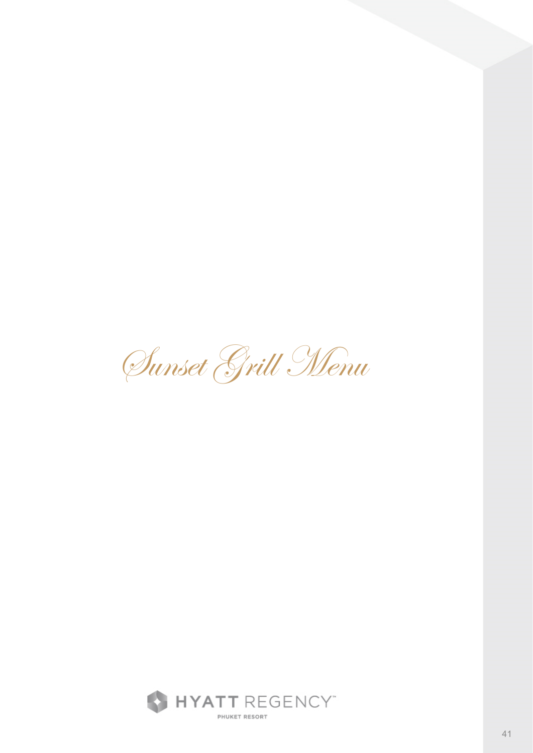Sunset Grill Menu

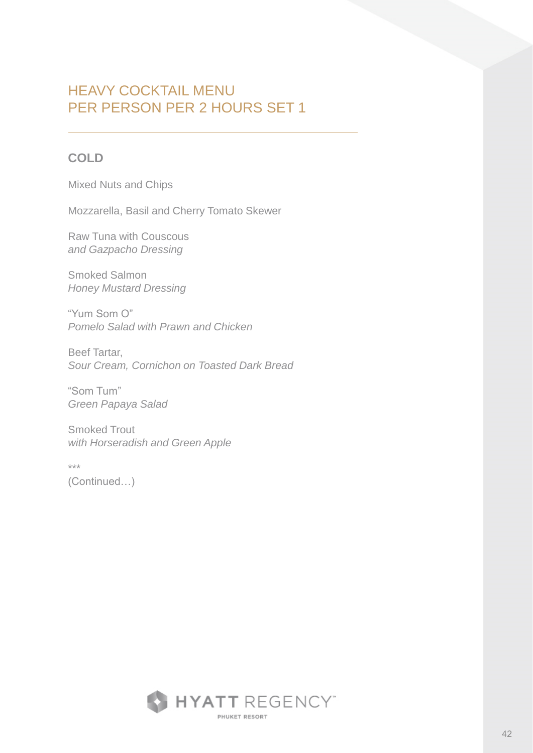### **COLD**

Mixed Nuts and Chips

Mozzarella, Basil and Cherry Tomato Skewer

Raw Tuna with Couscous *and Gazpacho Dressing*

Smoked Salmon *Honey Mustard Dressing*

"Yum Som O" *Pomelo Salad with Prawn and Chicken*

Beef Tartar, *Sour Cream, Cornichon on Toasted Dark Bread*

"Som Tum" *Green Papaya Salad*

Smoked Trout *with Horseradish and Green Apple*

\*\*\*

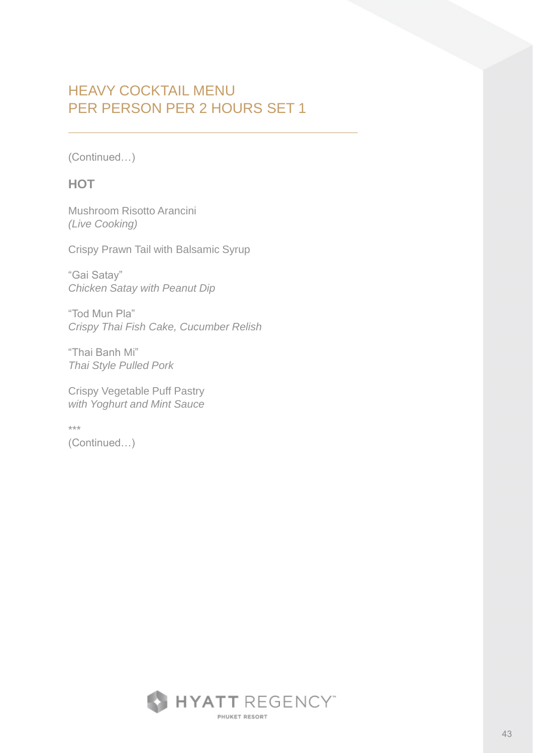(Continued…)

### **HOT**

Mushroom Risotto Arancini *(Live Cooking)*

Crispy Prawn Tail with Balsamic Syrup

"Gai Satay" *Chicken Satay with Peanut Dip*

"Tod Mun Pla" *Crispy Thai Fish Cake, Cucumber Relish*

"Thai Banh Mi" *Thai Style Pulled Pork*

Crispy Vegetable Puff Pastry *with Yoghurt and Mint Sauce*

\*\*\* (Continued…)

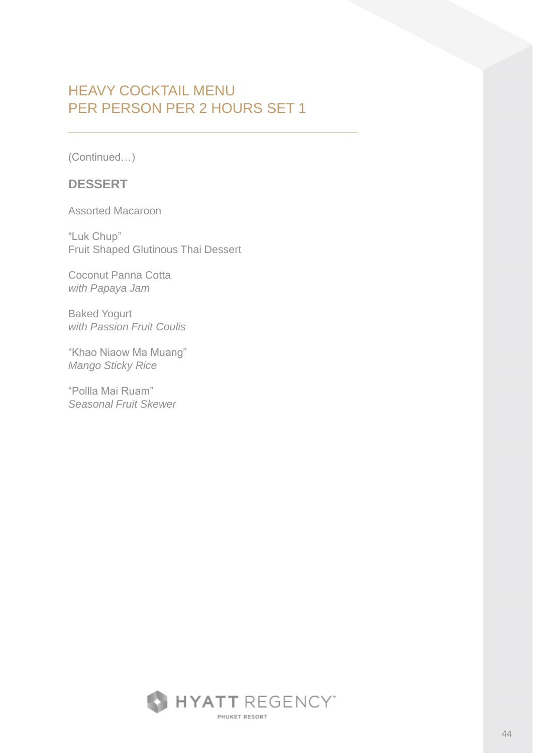(Continued…)

#### **DESSERT**

Assorted Macaroon

"Luk Chup" Fruit Shaped Glutinous Thai Dessert

Coconut Panna Cotta *with Papaya Jam*

Baked Yogurt *with Passion Fruit Coulis*

"Khao Niaow Ma Muang" *Mango Sticky Rice*

"Pollla Mai Ruam" *Seasonal Fruit Skewer* 

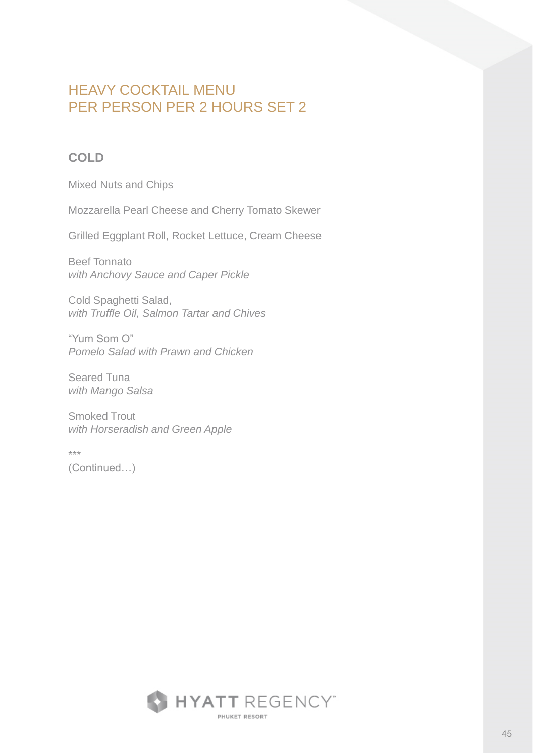### **COLD**

Mixed Nuts and Chips

Mozzarella Pearl Cheese and Cherry Tomato Skewer

Grilled Eggplant Roll, Rocket Lettuce, Cream Cheese

Beef Tonnato *with Anchovy Sauce and Caper Pickle*

Cold Spaghetti Salad, *with Truffle Oil, Salmon Tartar and Chives*

"Yum Som O" *Pomelo Salad with Prawn and Chicken*

Seared Tuna *with Mango Salsa* 

Smoked Trout *with Horseradish and Green Apple*

\*\*\*

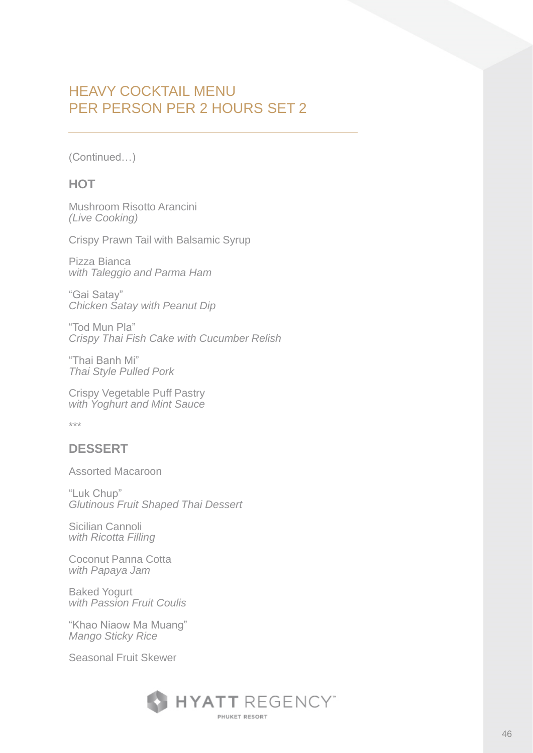(Continued…)

### **HOT**

Mushroom Risotto Arancini *(Live Cooking)*

Crispy Prawn Tail with Balsamic Syrup

Pizza Bianca *with Taleggio and Parma Ham*

"Gai Satay" *Chicken Satay with Peanut Dip*

"Tod Mun Pla" *Crispy Thai Fish Cake with Cucumber Relish*

"Thai Banh Mi" *Thai Style Pulled Pork*

Crispy Vegetable Puff Pastry *with Yoghurt and Mint Sauce* 

\*\*\*

### **DESSERT**

Assorted Macaroon

"Luk Chup" *Glutinous Fruit Shaped Thai Dessert*

Sicilian Cannoli *with Ricotta Filling*

Coconut Panna Cotta *with Papaya Jam*

Baked Yogurt *with Passion Fruit Coulis*

"Khao Niaow Ma Muang" *Mango Sticky Rice*

Seasonal Fruit Skewer

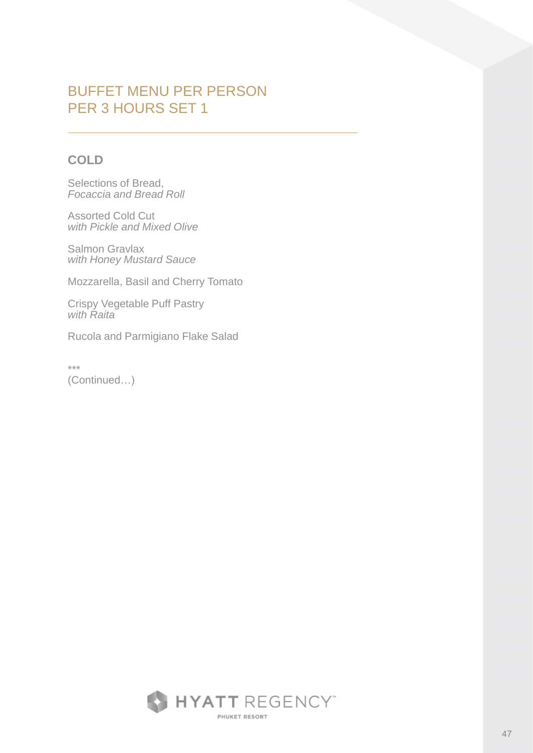### **COLD**

Selections of Bread, *Focaccia and Bread Roll*

Assorted Cold Cut *with Pickle and Mixed Olive*

Salmon Gravlax *with Honey Mustard Sauce*

Mozzarella, Basil and Cherry Tomato

Crispy Vegetable Puff Pastry *with Raita*

Rucola and Parmigiano Flake Salad

\*\*\* (Continued…)

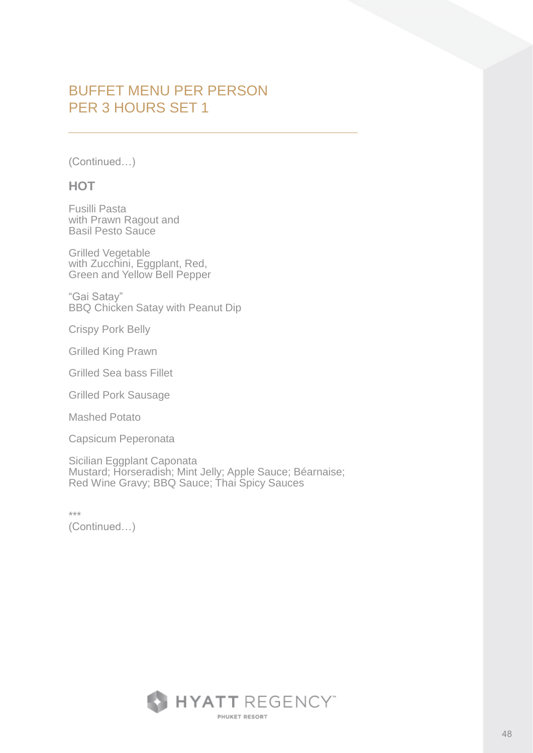(Continued…)

#### **HOT**

Fusilli Pasta with Prawn Ragout and Basil Pesto Sauce

Grilled Vegetable with Zucchini, Eggplant, Red, Green and Yellow Bell Pepper

"Gai Satay" BBQ Chicken Satay with Peanut Dip

Crispy Pork Belly

Grilled King Prawn

Grilled Sea bass Fillet

Grilled Pork Sausage

Mashed Potato

Capsicum Peperonata

Sicilian Eggplant Caponata Mustard; Horseradish; Mint Jelly; Apple Sauce; Béarnaise; Red Wine Gravy; BBQ Sauce; Thai Spicy Sauces

\*\*\*

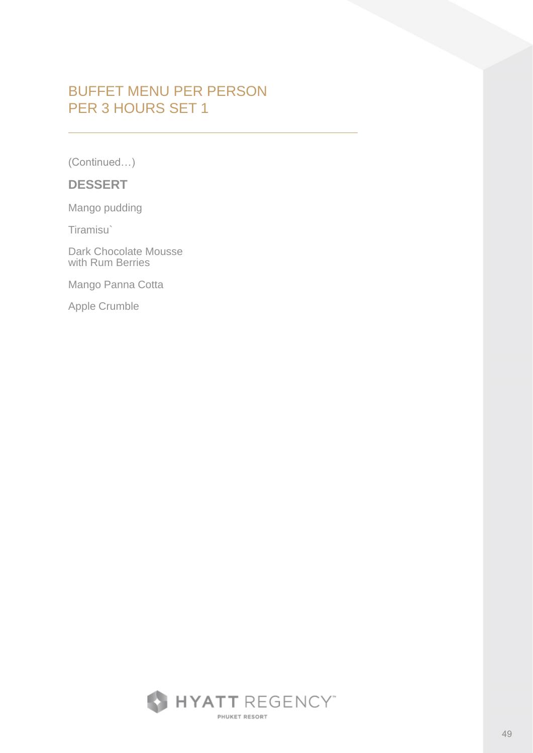(Continued…)

#### **DESSERT**

Mango pudding

Tiramisu`

Dark Chocolate Mousse with Rum Berries

Mango Panna Cotta

Apple Crumble

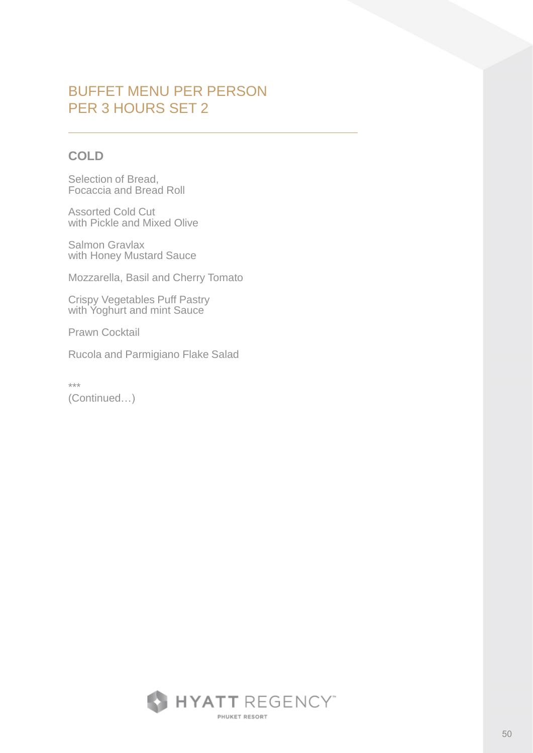### **COLD**

Selection of Bread, Focaccia and Bread Roll

Assorted Cold Cut with Pickle and Mixed Olive

Salmon Gravlax with Honey Mustard Sauce

Mozzarella, Basil and Cherry Tomato

Crispy Vegetables Puff Pastry with Yoghurt and mint Sauce

Prawn Cocktail

Rucola and Parmigiano Flake Salad

\*\*\* (Continued…)

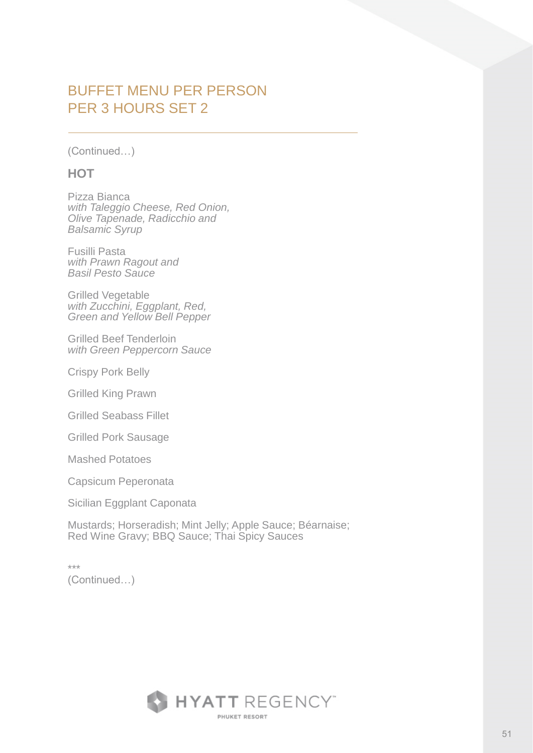(Continued…)

#### **HOT**

Pizza Bianca *with Taleggio Cheese, Red Onion, Olive Tapenade, Radicchio and Balsamic Syrup*

Fusilli Pasta *with Prawn Ragout and Basil Pesto Sauce*

Grilled Vegetable *with Zucchini, Eggplant, Red, Green and Yellow Bell Pepper*

Grilled Beef Tenderloin *with Green Peppercorn Sauce*

Crispy Pork Belly

Grilled King Prawn

Grilled Seabass Fillet

Grilled Pork Sausage

Mashed Potatoes

Capsicum Peperonata

Sicilian Eggplant Caponata

Mustards; Horseradish; Mint Jelly; Apple Sauce; Béarnaise; Red Wine Gravy; BBQ Sauce; Thai Spicy Sauces

\*\*\* (Continued…)

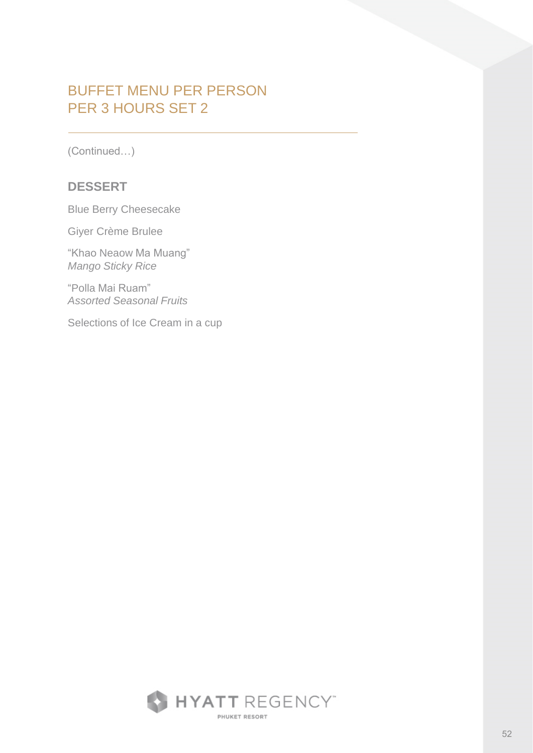(Continued…)

#### **DESSERT**

Blue Berry Cheesecake

Giyer Crème Brulee

"Khao Neaow Ma Muang" *Mango Sticky Rice*

"Polla Mai Ruam" *Assorted Seasonal Fruits*

Selections of Ice Cream in a cup

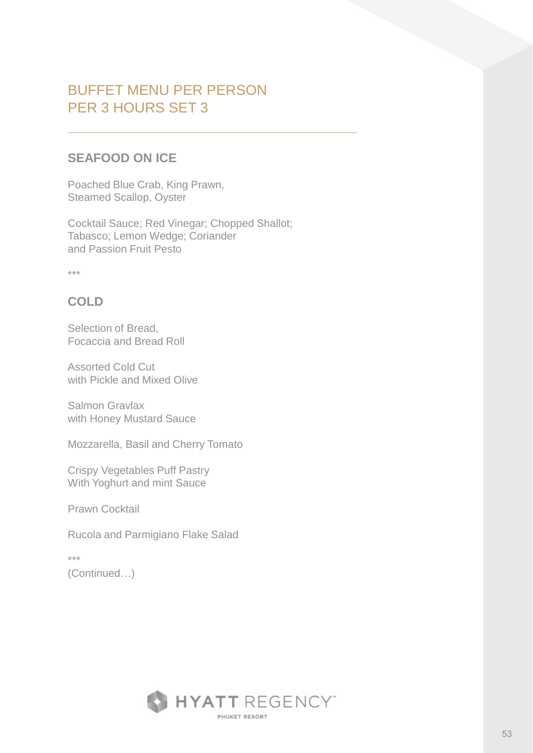### **SEAFOOD ON ICE**

Poached Blue Crab, King Prawn, Steamed Scallop, Oyster

Cocktail Sauce; Red Vinegar; Chopped Shallot; Tabasco; Lemon Wedge; Coriander and Passion Fruit Pesto

\*\*\*

### **COLD**

Selection of Bread, Focaccia and Bread Roll

Assorted Cold Cut with Pickle and Mixed Olive

Salmon Gravlax with Honey Mustard Sauce

Mozzarella, Basil and Cherry Tomato

Crispy Vegetables Puff Pastry With Yoghurt and mint Sauce

Prawn Cocktail

Rucola and Parmigiano Flake Salad

\*\*\*

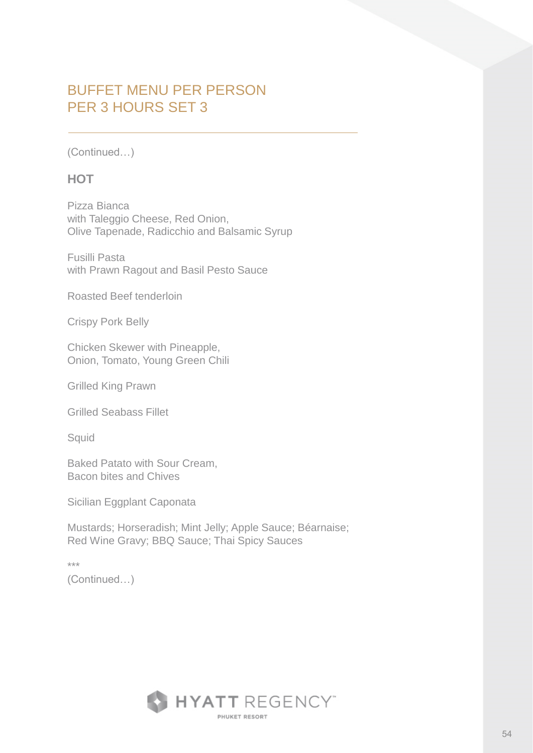(Continued…)

#### **HOT**

Pizza Bianca with Taleggio Cheese, Red Onion, Olive Tapenade, Radicchio and Balsamic Syrup

Fusilli Pasta with Prawn Ragout and Basil Pesto Sauce

Roasted Beef tenderloin

Crispy Pork Belly

Chicken Skewer with Pineapple, Onion, Tomato, Young Green Chili

Grilled King Prawn

Grilled Seabass Fillet

**Squid** 

Baked Patato with Sour Cream, Bacon bites and Chives

Sicilian Eggplant Caponata

Mustards; Horseradish; Mint Jelly; Apple Sauce; Béarnaise; Red Wine Gravy; BBQ Sauce; Thai Spicy Sauces

\*\*\*

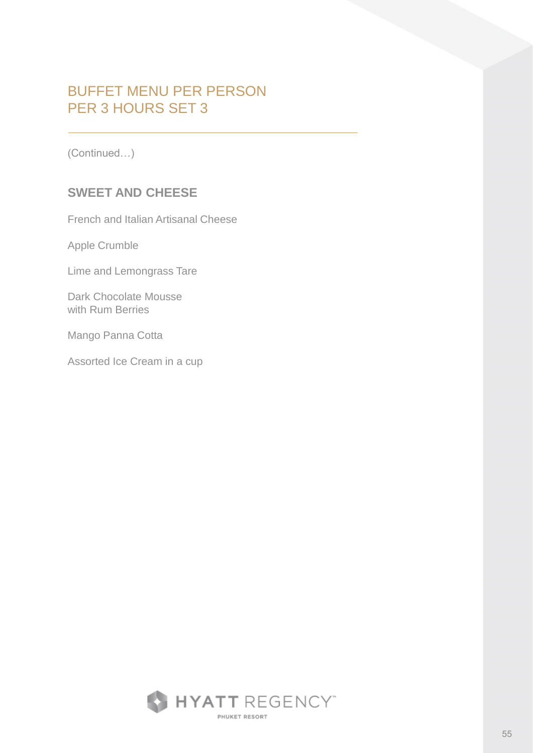(Continued…)

### **SWEET AND CHEESE**

French and Italian Artisanal Cheese

Apple Crumble

Lime and Lemongrass Tare

Dark Chocolate Mousse with Rum Berries

Mango Panna Cotta

Assorted Ice Cream in a cup

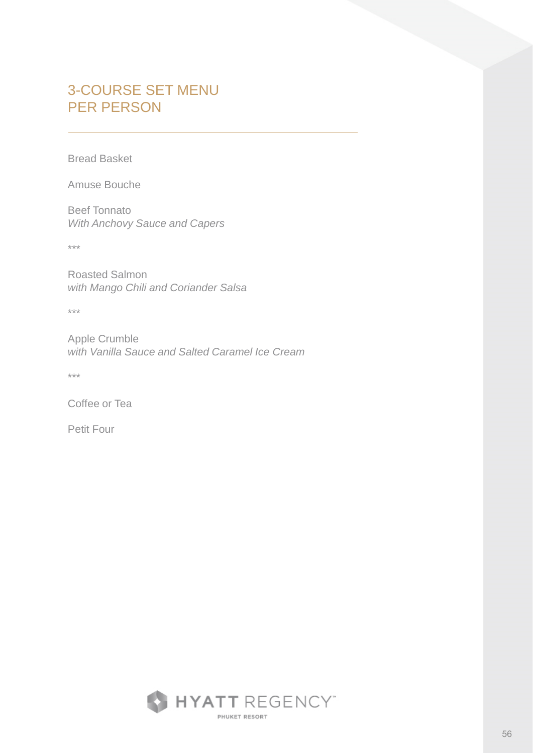# 3-COURSE SET MENU PER PERSON

Bread Basket

Amuse Bouche

Beef Tonnato *With Anchovy Sauce and Capers*

\*\*\*

Roasted Salmon *with Mango Chili and Coriander Salsa*

\*\*\*

Apple Crumble *with Vanilla Sauce and Salted Caramel Ice Cream*

\*\*\*

Coffee or Tea

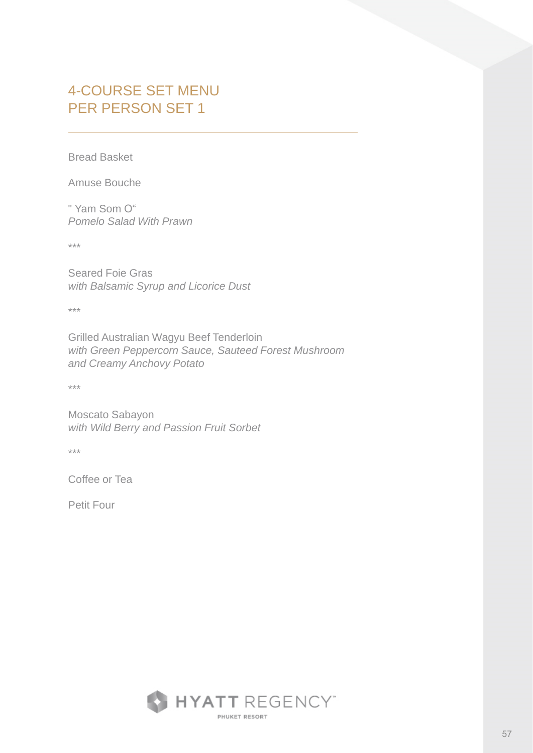## 4-COURSE SET MENU PER PERSON SET 1

Bread Basket

Amuse Bouche

" Yam Som O" *Pomelo Salad With Prawn*

\*\*\*

Seared Foie Gras *with Balsamic Syrup and Licorice Dust*

\*\*\*

Grilled Australian Wagyu Beef Tenderloin *with Green Peppercorn Sauce, Sauteed Forest Mushroom and Creamy Anchovy Potato*

\*\*\*

Moscato Sabayon *with Wild Berry and Passion Fruit Sorbet*

\*\*\*

Coffee or Tea